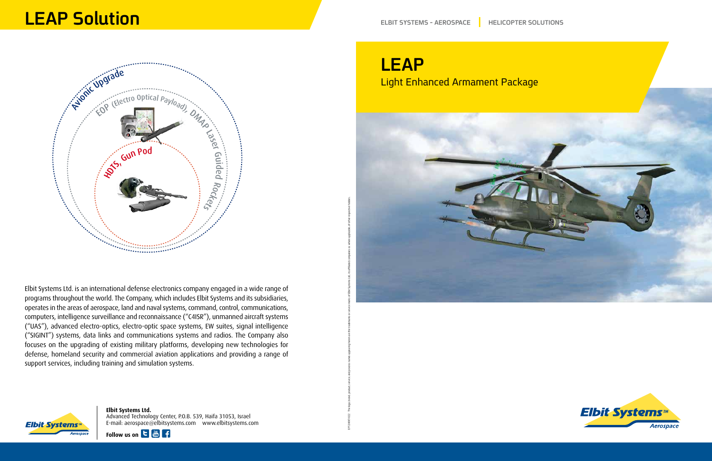

Elbit Systems Ltd. is an international defense electronics company engaged in a wide range of programs throughout the world. The Company, which includes Elbit Systems and its subsidiaries, operates in the areas of aerospace, land and naval systems, command, control, communications, computers, intelligence surveillance and reconnaissance ("C4ISR"), unmanned aircraft systems ("UAS"), advanced electro-optics, electro-optic space systems, EW suites, signal intelligence ("SIGINT") systems, data links and communications systems and radios. The Company also focuses on the upgrading of existing military platforms, developing new technologies for defense, homeland security and commercial aviation applications and providing a range of support services, including training and simulation systems.

# Elbit Systems<sup>,</sup>

**Elbit Systems Ltd.** Advanced Technology Center, P.O.B. 539, Haifa 31053, Israel E-mail: aerospace@elbitsystems.com www.elbitsystems.com



## LEAP Light Enhanced Armament Package

EP12-MKT-022 The logo, brand, product, service, and process names appearing herein are the trademarks or service marks of Elbit Systems Ltd., its affiliated companies or, where applicable, of other respective holders.